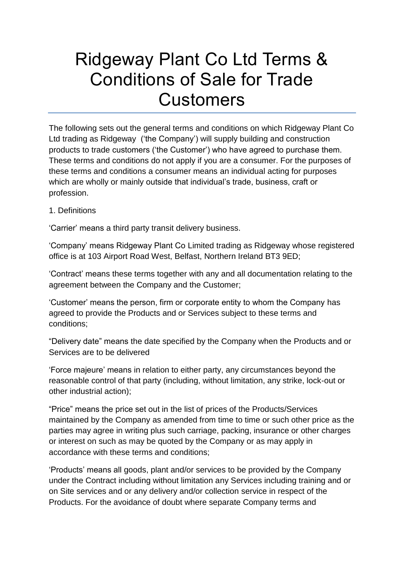# Ridgeway Plant Co Ltd Terms & Conditions of Sale for Trade **Customers**

The following sets out the general terms and conditions on which Ridgeway Plant Co Ltd trading as Ridgeway ('the Company') will supply building and construction products to trade customers ('the Customer') who have agreed to purchase them. These terms and conditions do not apply if you are a consumer. For the purposes of these terms and conditions a consumer means an individual acting for purposes which are wholly or mainly outside that individual's trade, business, craft or profession.

1. Definitions

'Carrier' means a third party transit delivery business.

'Company' means Ridgeway Plant Co Limited trading as Ridgeway whose registered office is at 103 Airport Road West, Belfast, Northern Ireland BT3 9ED;

'Contract' means these terms together with any and all documentation relating to the agreement between the Company and the Customer;

'Customer' means the person, firm or corporate entity to whom the Company has agreed to provide the Products and or Services subject to these terms and conditions;

"Delivery date" means the date specified by the Company when the Products and or Services are to be delivered

'Force majeure' means in relation to either party, any circumstances beyond the reasonable control of that party (including, without limitation, any strike, lock-out or other industrial action);

"Price" means the price set out in the list of prices of the Products/Services maintained by the Company as amended from time to time or such other price as the parties may agree in writing plus such carriage, packing, insurance or other charges or interest on such as may be quoted by the Company or as may apply in accordance with these terms and conditions;

'Products' means all goods, plant and/or services to be provided by the Company under the Contract including without limitation any Services including training and or on Site services and or any delivery and/or collection service in respect of the Products. For the avoidance of doubt where separate Company terms and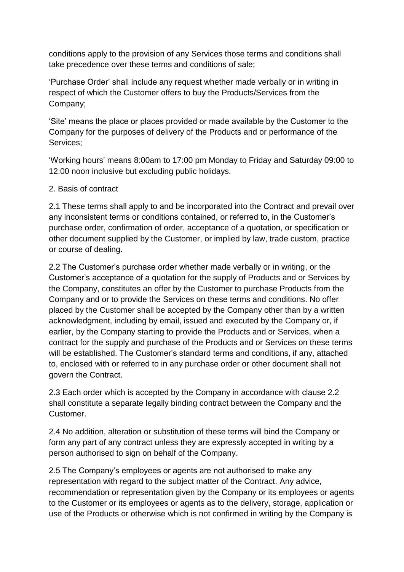conditions apply to the provision of any Services those terms and conditions shall take precedence over these terms and conditions of sale;

'Purchase Order' shall include any request whether made verbally or in writing in respect of which the Customer offers to buy the Products/Services from the Company;

'Site' means the place or places provided or made available by the Customer to the Company for the purposes of delivery of the Products and or performance of the Services;

'Working hours' means 8:00am to 17:00 pm Monday to Friday and Saturday 09:00 to 12:00 noon inclusive but excluding public holidays.

#### 2. Basis of contract

2.1 These terms shall apply to and be incorporated into the Contract and prevail over any inconsistent terms or conditions contained, or referred to, in the Customer's purchase order, confirmation of order, acceptance of a quotation, or specification or other document supplied by the Customer, or implied by law, trade custom, practice or course of dealing.

2.2 The Customer's purchase order whether made verbally or in writing, or the Customer's acceptance of a quotation for the supply of Products and or Services by the Company, constitutes an offer by the Customer to purchase Products from the Company and or to provide the Services on these terms and conditions. No offer placed by the Customer shall be accepted by the Company other than by a written acknowledgment, including by email, issued and executed by the Company or, if earlier, by the Company starting to provide the Products and or Services, when a contract for the supply and purchase of the Products and or Services on these terms will be established. The Customer's standard terms and conditions, if any, attached to, enclosed with or referred to in any purchase order or other document shall not govern the Contract.

2.3 Each order which is accepted by the Company in accordance with clause 2.2 shall constitute a separate legally binding contract between the Company and the Customer.

2.4 No addition, alteration or substitution of these terms will bind the Company or form any part of any contract unless they are expressly accepted in writing by a person authorised to sign on behalf of the Company.

2.5 The Company's employees or agents are not authorised to make any representation with regard to the subject matter of the Contract. Any advice, recommendation or representation given by the Company or its employees or agents to the Customer or its employees or agents as to the delivery, storage, application or use of the Products or otherwise which is not confirmed in writing by the Company is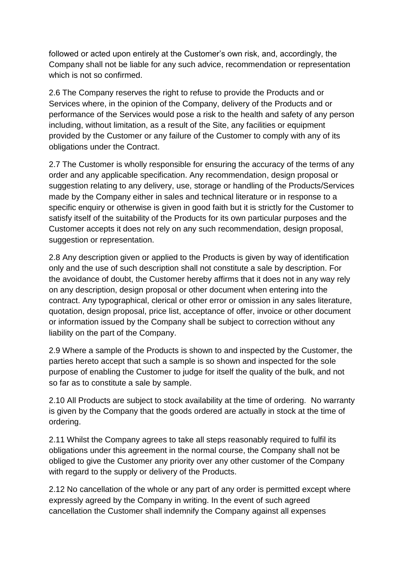followed or acted upon entirely at the Customer's own risk, and, accordingly, the Company shall not be liable for any such advice, recommendation or representation which is not so confirmed.

2.6 The Company reserves the right to refuse to provide the Products and or Services where, in the opinion of the Company, delivery of the Products and or performance of the Services would pose a risk to the health and safety of any person including, without limitation, as a result of the Site, any facilities or equipment provided by the Customer or any failure of the Customer to comply with any of its obligations under the Contract.

2.7 The Customer is wholly responsible for ensuring the accuracy of the terms of any order and any applicable specification. Any recommendation, design proposal or suggestion relating to any delivery, use, storage or handling of the Products/Services made by the Company either in sales and technical literature or in response to a specific enquiry or otherwise is given in good faith but it is strictly for the Customer to satisfy itself of the suitability of the Products for its own particular purposes and the Customer accepts it does not rely on any such recommendation, design proposal, suggestion or representation.

2.8 Any description given or applied to the Products is given by way of identification only and the use of such description shall not constitute a sale by description. For the avoidance of doubt, the Customer hereby affirms that it does not in any way rely on any description, design proposal or other document when entering into the contract. Any typographical, clerical or other error or omission in any sales literature, quotation, design proposal, price list, acceptance of offer, invoice or other document or information issued by the Company shall be subject to correction without any liability on the part of the Company.

2.9 Where a sample of the Products is shown to and inspected by the Customer, the parties hereto accept that such a sample is so shown and inspected for the sole purpose of enabling the Customer to judge for itself the quality of the bulk, and not so far as to constitute a sale by sample.

2.10 All Products are subject to stock availability at the time of ordering. No warranty is given by the Company that the goods ordered are actually in stock at the time of ordering.

2.11 Whilst the Company agrees to take all steps reasonably required to fulfil its obligations under this agreement in the normal course, the Company shall not be obliged to give the Customer any priority over any other customer of the Company with regard to the supply or delivery of the Products.

2.12 No cancellation of the whole or any part of any order is permitted except where expressly agreed by the Company in writing. In the event of such agreed cancellation the Customer shall indemnify the Company against all expenses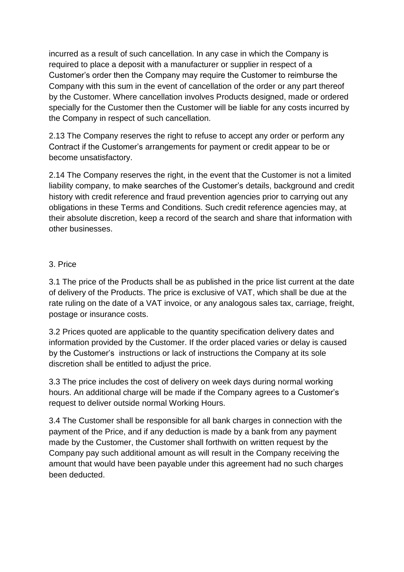incurred as a result of such cancellation. In any case in which the Company is required to place a deposit with a manufacturer or supplier in respect of a Customer's order then the Company may require the Customer to reimburse the Company with this sum in the event of cancellation of the order or any part thereof by the Customer. Where cancellation involves Products designed, made or ordered specially for the Customer then the Customer will be liable for any costs incurred by the Company in respect of such cancellation.

2.13 The Company reserves the right to refuse to accept any order or perform any Contract if the Customer's arrangements for payment or credit appear to be or become unsatisfactory.

2.14 The Company reserves the right, in the event that the Customer is not a limited liability company, to make searches of the Customer's details, background and credit history with credit reference and fraud prevention agencies prior to carrying out any obligations in these Terms and Conditions. Such credit reference agencies may, at their absolute discretion, keep a record of the search and share that information with other businesses.

#### 3. Price

3.1 The price of the Products shall be as published in the price list current at the date of delivery of the Products. The price is exclusive of VAT, which shall be due at the rate ruling on the date of a VAT invoice, or any analogous sales tax, carriage, freight, postage or insurance costs.

3.2 Prices quoted are applicable to the quantity specification delivery dates and information provided by the Customer. If the order placed varies or delay is caused by the Customer's instructions or lack of instructions the Company at its sole discretion shall be entitled to adjust the price.

3.3 The price includes the cost of delivery on week days during normal working hours. An additional charge will be made if the Company agrees to a Customer's request to deliver outside normal Working Hours.

3.4 The Customer shall be responsible for all bank charges in connection with the payment of the Price, and if any deduction is made by a bank from any payment made by the Customer, the Customer shall forthwith on written request by the Company pay such additional amount as will result in the Company receiving the amount that would have been payable under this agreement had no such charges been deducted.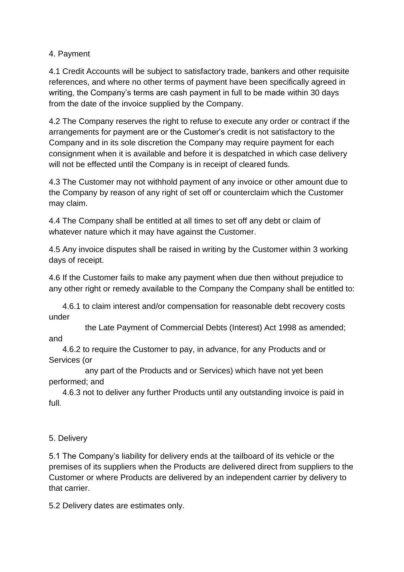#### 4. Payment

4.1 Credit Accounts will be subject to satisfactory trade, bankers and other requisite references, and where no other terms of payment have been specifically agreed in writing, the Company's terms are cash payment in full to be made within 30 days from the date of the invoice supplied by the Company.

4.2 The Company reserves the right to refuse to execute any order or contract if the arrangements for payment are or the Customer's credit is not satisfactory to the Company and in its sole discretion the Company may require payment for each consignment when it is available and before it is despatched in which case delivery will not be effected until the Company is in receipt of cleared funds.

4.3 The Customer may not withhold payment of any invoice or other amount due to the Company by reason of any right of set off or counterclaim which the Customer may claim.

4.4 The Company shall be entitled at all times to set off any debt or claim of whatever nature which it may have against the Customer.

4.5 Any invoice disputes shall be raised in writing by the Customer within 3 working days of receipt.

4.6 If the Customer fails to make any payment when due then without prejudice to any other right or remedy available to the Company the Company shall be entitled to:

 4.6.1 to claim interest and/or compensation for reasonable debt recovery costs under

 the Late Payment of Commercial Debts (Interest) Act 1998 as amended; and

 4.6.2 to require the Customer to pay, in advance, for any Products and or Services (or

 any part of the Products and or Services) which have not yet been performed; and

 4.6.3 not to deliver any further Products until any outstanding invoice is paid in full.

5. Delivery

5.1 The Company's liability for delivery ends at the tailboard of its vehicle or the premises of its suppliers when the Products are delivered direct from suppliers to the Customer or where Products are delivered by an independent carrier by delivery to that carrier.

5.2 Delivery dates are estimates only.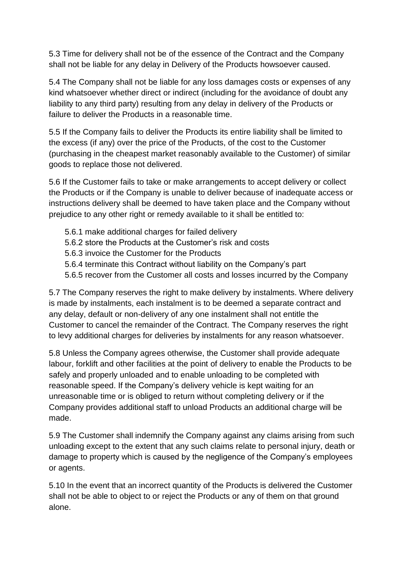5.3 Time for delivery shall not be of the essence of the Contract and the Company shall not be liable for any delay in Delivery of the Products howsoever caused.

5.4 The Company shall not be liable for any loss damages costs or expenses of any kind whatsoever whether direct or indirect (including for the avoidance of doubt any liability to any third party) resulting from any delay in delivery of the Products or failure to deliver the Products in a reasonable time.

5.5 If the Company fails to deliver the Products its entire liability shall be limited to the excess (if any) over the price of the Products, of the cost to the Customer (purchasing in the cheapest market reasonably available to the Customer) of similar goods to replace those not delivered.

5.6 If the Customer fails to take or make arrangements to accept delivery or collect the Products or if the Company is unable to deliver because of inadequate access or instructions delivery shall be deemed to have taken place and the Company without prejudice to any other right or remedy available to it shall be entitled to:

- 5.6.1 make additional charges for failed delivery
- 5.6.2 store the Products at the Customer's risk and costs
- 5.6.3 invoice the Customer for the Products
- 5.6.4 terminate this Contract without liability on the Company's part
- 5.6.5 recover from the Customer all costs and losses incurred by the Company

5.7 The Company reserves the right to make delivery by instalments. Where delivery is made by instalments, each instalment is to be deemed a separate contract and any delay, default or non-delivery of any one instalment shall not entitle the Customer to cancel the remainder of the Contract. The Company reserves the right to levy additional charges for deliveries by instalments for any reason whatsoever.

5.8 Unless the Company agrees otherwise, the Customer shall provide adequate labour, forklift and other facilities at the point of delivery to enable the Products to be safely and properly unloaded and to enable unloading to be completed with reasonable speed. If the Company's delivery vehicle is kept waiting for an unreasonable time or is obliged to return without completing delivery or if the Company provides additional staff to unload Products an additional charge will be made.

5.9 The Customer shall indemnify the Company against any claims arising from such unloading except to the extent that any such claims relate to personal injury, death or damage to property which is caused by the negligence of the Company's employees or agents.

5.10 In the event that an incorrect quantity of the Products is delivered the Customer shall not be able to object to or reject the Products or any of them on that ground alone.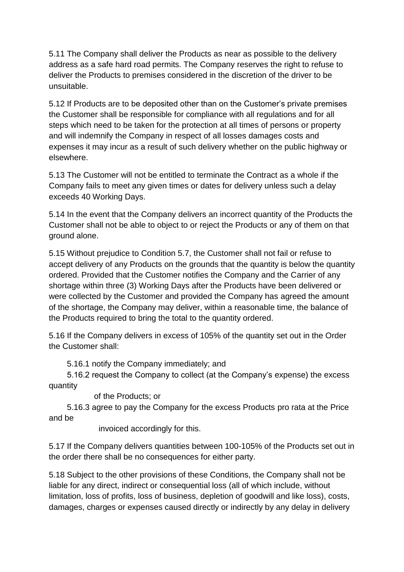5.11 The Company shall deliver the Products as near as possible to the delivery address as a safe hard road permits. The Company reserves the right to refuse to deliver the Products to premises considered in the discretion of the driver to be unsuitable.

5.12 If Products are to be deposited other than on the Customer's private premises the Customer shall be responsible for compliance with all regulations and for all steps which need to be taken for the protection at all times of persons or property and will indemnify the Company in respect of all losses damages costs and expenses it may incur as a result of such delivery whether on the public highway or elsewhere.

5.13 The Customer will not be entitled to terminate the Contract as a whole if the Company fails to meet any given times or dates for delivery unless such a delay exceeds 40 Working Days.

5.14 In the event that the Company delivers an incorrect quantity of the Products the Customer shall not be able to object to or reject the Products or any of them on that ground alone.

5.15 Without prejudice to Condition 5.7, the Customer shall not fail or refuse to accept delivery of any Products on the grounds that the quantity is below the quantity ordered. Provided that the Customer notifies the Company and the Carrier of any shortage within three (3) Working Days after the Products have been delivered or were collected by the Customer and provided the Company has agreed the amount of the shortage, the Company may deliver, within a reasonable time, the balance of the Products required to bring the total to the quantity ordered.

5.16 If the Company delivers in excess of 105% of the quantity set out in the Order the Customer shall:

5.16.1 notify the Company immediately; and

 5.16.2 request the Company to collect (at the Company's expense) the excess quantity

of the Products; or

 5.16.3 agree to pay the Company for the excess Products pro rata at the Price and be

invoiced accordingly for this.

5.17 If the Company delivers quantities between 100-105% of the Products set out in the order there shall be no consequences for either party.

5.18 Subject to the other provisions of these Conditions, the Company shall not be liable for any direct, indirect or consequential loss (all of which include, without limitation, loss of profits, loss of business, depletion of goodwill and like loss), costs, damages, charges or expenses caused directly or indirectly by any delay in delivery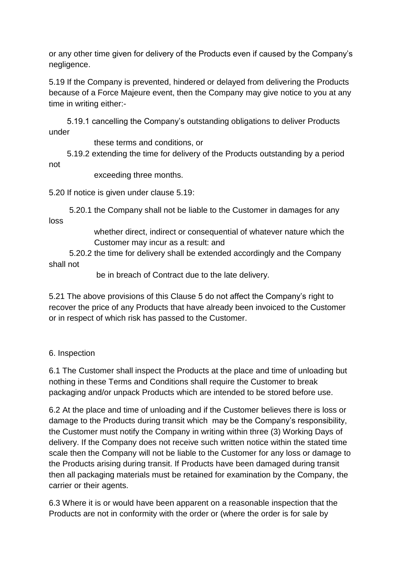or any other time given for delivery of the Products even if caused by the Company's negligence.

5.19 If the Company is prevented, hindered or delayed from delivering the Products because of a Force Majeure event, then the Company may give notice to you at any time in writing either:-

 5.19.1 cancelling the Company's outstanding obligations to deliver Products under

these terms and conditions, or

 5.19.2 extending the time for delivery of the Products outstanding by a period not

exceeding three months.

5.20 If notice is given under clause 5.19:

 5.20.1 the Company shall not be liable to the Customer in damages for any loss

> whether direct, indirect or consequential of whatever nature which the Customer may incur as a result: and

 5.20.2 the time for delivery shall be extended accordingly and the Company shall not

be in breach of Contract due to the late delivery.

5.21 The above provisions of this Clause 5 do not affect the Company's right to recover the price of any Products that have already been invoiced to the Customer or in respect of which risk has passed to the Customer.

6. Inspection

6.1 The Customer shall inspect the Products at the place and time of unloading but nothing in these Terms and Conditions shall require the Customer to break packaging and/or unpack Products which are intended to be stored before use.

6.2 At the place and time of unloading and if the Customer believes there is loss or damage to the Products during transit which may be the Company's responsibility, the Customer must notify the Company in writing within three (3) Working Days of delivery. If the Company does not receive such written notice within the stated time scale then the Company will not be liable to the Customer for any loss or damage to the Products arising during transit. If Products have been damaged during transit then all packaging materials must be retained for examination by the Company, the carrier or their agents.

6.3 Where it is or would have been apparent on a reasonable inspection that the Products are not in conformity with the order or (where the order is for sale by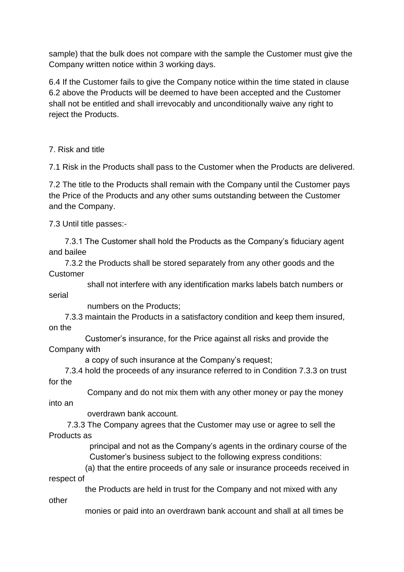sample) that the bulk does not compare with the sample the Customer must give the Company written notice within 3 working days.

6.4 If the Customer fails to give the Company notice within the time stated in clause 6.2 above the Products will be deemed to have been accepted and the Customer shall not be entitled and shall irrevocably and unconditionally waive any right to reject the Products.

7. Risk and title

7.1 Risk in the Products shall pass to the Customer when the Products are delivered.

7.2 The title to the Products shall remain with the Company until the Customer pays the Price of the Products and any other sums outstanding between the Customer and the Company.

7.3 Until title passes:-

 7.3.1 The Customer shall hold the Products as the Company's fiduciary agent and bailee

 7.3.2 the Products shall be stored separately from any other goods and the Customer

 shall not interfere with any identification marks labels batch numbers or serial

numbers on the Products;

 7.3.3 maintain the Products in a satisfactory condition and keep them insured, on the

 Customer's insurance, for the Price against all risks and provide the Company with

a copy of such insurance at the Company's request;

 7.3.4 hold the proceeds of any insurance referred to in Condition 7.3.3 on trust for the

Company and do not mix them with any other money or pay the money

overdrawn bank account.

 7.3.3 The Company agrees that the Customer may use or agree to sell the Products as

> principal and not as the Company's agents in the ordinary course of the Customer's business subject to the following express conditions:

 (a) that the entire proceeds of any sale or insurance proceeds received in respect of

the Products are held in trust for the Company and not mixed with any

other

into an

monies or paid into an overdrawn bank account and shall at all times be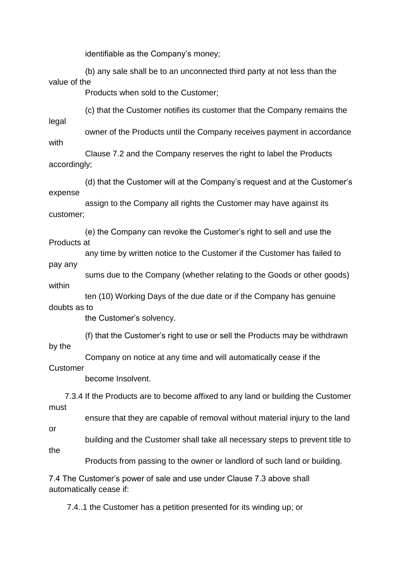identifiable as the Company's money;

 (b) any sale shall be to an unconnected third party at not less than the value of the

Products when sold to the Customer;

 (c) that the Customer notifies its customer that the Company remains the legal

 owner of the Products until the Company receives payment in accordance with

 Clause 7.2 and the Company reserves the right to label the Products accordingly;

 (d) that the Customer will at the Company's request and at the Customer's expense

 assign to the Company all rights the Customer may have against its customer;

 (e) the Company can revoke the Customer's right to sell and use the Products at

 any time by written notice to the Customer if the Customer has failed to pay any

 sums due to the Company (whether relating to the Goods or other goods) within

 ten (10) Working Days of the due date or if the Company has genuine doubts as to

the Customer's solvency.

 (f) that the Customer's right to use or sell the Products may be withdrawn by the

Company on notice at any time and will automatically cease if the

Customer

become Insolvent.

 7.3.4 If the Products are to become affixed to any land or building the Customer must

 ensure that they are capable of removal without material injury to the land or

 building and the Customer shall take all necessary steps to prevent title to the

Products from passing to the owner or landlord of such land or building.

7.4 The Customer's power of sale and use under Clause 7.3 above shall automatically cease if:

7.4..1 the Customer has a petition presented for its winding up; or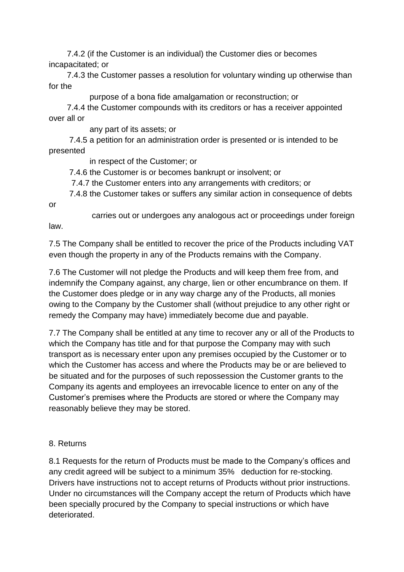7.4.2 (if the Customer is an individual) the Customer dies or becomes incapacitated; or

 7.4.3 the Customer passes a resolution for voluntary winding up otherwise than for the

purpose of a bona fide amalgamation or reconstruction; or

 7.4.4 the Customer compounds with its creditors or has a receiver appointed over all or

any part of its assets; or

 7.4.5 a petition for an administration order is presented or is intended to be presented

in respect of the Customer; or

7.4.6 the Customer is or becomes bankrupt or insolvent; or

7.4.7 the Customer enters into any arrangements with creditors; or

7.4.8 the Customer takes or suffers any similar action in consequence of debts

or

 carries out or undergoes any analogous act or proceedings under foreign law.

7.5 The Company shall be entitled to recover the price of the Products including VAT even though the property in any of the Products remains with the Company.

7.6 The Customer will not pledge the Products and will keep them free from, and indemnify the Company against, any charge, lien or other encumbrance on them. If the Customer does pledge or in any way charge any of the Products, all monies owing to the Company by the Customer shall (without prejudice to any other right or remedy the Company may have) immediately become due and payable.

7.7 The Company shall be entitled at any time to recover any or all of the Products to which the Company has title and for that purpose the Company may with such transport as is necessary enter upon any premises occupied by the Customer or to which the Customer has access and where the Products may be or are believed to be situated and for the purposes of such repossession the Customer grants to the Company its agents and employees an irrevocable licence to enter on any of the Customer's premises where the Products are stored or where the Company may reasonably believe they may be stored.

# 8. Returns

8.1 Requests for the return of Products must be made to the Company's offices and any credit agreed will be subject to a minimum 35% deduction for re-stocking. Drivers have instructions not to accept returns of Products without prior instructions. Under no circumstances will the Company accept the return of Products which have been specially procured by the Company to special instructions or which have deteriorated.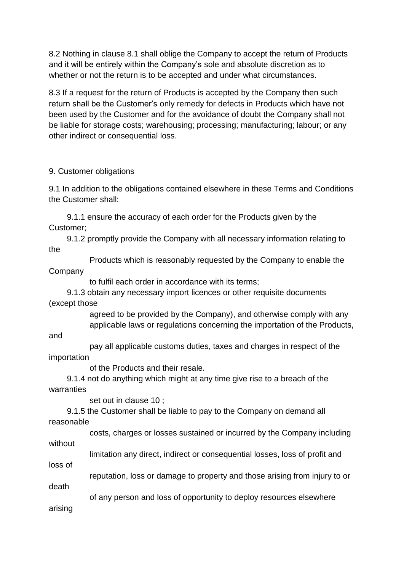8.2 Nothing in clause 8.1 shall oblige the Company to accept the return of Products and it will be entirely within the Company's sole and absolute discretion as to whether or not the return is to be accepted and under what circumstances.

8.3 If a request for the return of Products is accepted by the Company then such return shall be the Customer's only remedy for defects in Products which have not been used by the Customer and for the avoidance of doubt the Company shall not be liable for storage costs; warehousing; processing; manufacturing; labour; or any other indirect or consequential loss.

#### 9. Customer obligations

9.1 In addition to the obligations contained elsewhere in these Terms and Conditions the Customer shall:

 9.1.1 ensure the accuracy of each order for the Products given by the Customer;

 9.1.2 promptly provide the Company with all necessary information relating to the

 Products which is reasonably requested by the Company to enable the Company

to fulfil each order in accordance with its terms;

 9.1.3 obtain any necessary import licences or other requisite documents (except those

> agreed to be provided by the Company), and otherwise comply with any applicable laws or regulations concerning the importation of the Products,

# and

 pay all applicable customs duties, taxes and charges in respect of the importation

of the Products and their resale.

 9.1.4 not do anything which might at any time give rise to a breach of the warranties

set out in clause 10 ;

 9.1.5 the Customer shall be liable to pay to the Company on demand all reasonable

|         | costs, charges or losses sustained or incurred by the Company including     |
|---------|-----------------------------------------------------------------------------|
| without | limitation any direct, indirect or consequential losses, loss of profit and |
| loss of |                                                                             |
|         | reputation, loss or damage to property and those arising from injury to or  |

death

of any person and loss of opportunity to deploy resources elsewhere

arising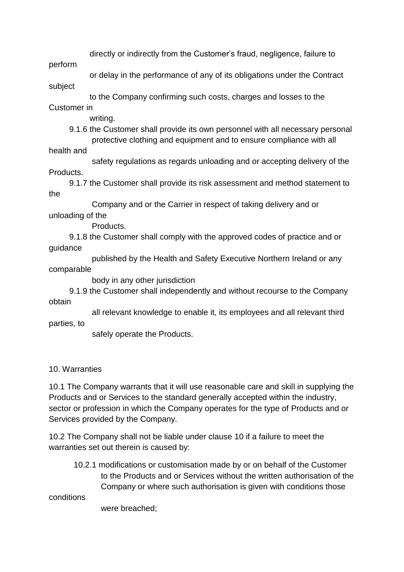|                    | directly or indirectly from the Customer's fraud, negligence, failure to                                                                              |
|--------------------|-------------------------------------------------------------------------------------------------------------------------------------------------------|
| perform            |                                                                                                                                                       |
|                    | or delay in the performance of any of its obligations under the Contract                                                                              |
| subject            |                                                                                                                                                       |
|                    | to the Company confirming such costs, charges and losses to the                                                                                       |
| <b>Customer</b> in |                                                                                                                                                       |
|                    | writing.                                                                                                                                              |
|                    | 9.1.6 the Customer shall provide its own personnel with all necessary personal<br>protective clothing and equipment and to ensure compliance with all |
| health and         |                                                                                                                                                       |
|                    | safety regulations as regards unloading and or accepting delivery of the                                                                              |
| Products.          |                                                                                                                                                       |
|                    | 9.1.7 the Customer shall provide its risk assessment and method statement to                                                                          |
| the                |                                                                                                                                                       |
|                    | Company and or the Carrier in respect of taking delivery and or                                                                                       |
| unloading of the   |                                                                                                                                                       |
|                    | Products.                                                                                                                                             |
|                    | 9.1.8 the Customer shall comply with the approved codes of practice and or                                                                            |
| guidance           |                                                                                                                                                       |
|                    | published by the Health and Safety Executive Northern Ireland or any                                                                                  |
| comparable         |                                                                                                                                                       |
|                    | body in any other jurisdiction                                                                                                                        |
|                    | 9.1.9 the Customer shall independently and without recourse to the Company                                                                            |
| obtain             |                                                                                                                                                       |
|                    | all relevant knowledge to enable it, its employees and all relevant third                                                                             |
| parties, to        |                                                                                                                                                       |
|                    | safely operate the Products.                                                                                                                          |
|                    |                                                                                                                                                       |

10. Warranties

10.1 The Company warrants that it will use reasonable care and skill in supplying the Products and or Services to the standard generally accepted within the industry, sector or profession in which the Company operates for the type of Products and or Services provided by the Company.

10.2 The Company shall not be liable under clause 10 if a failure to meet the warranties set out therein is caused by:

 10.2.1 modifications or customisation made by or on behalf of the Customer to the Products and or Services without the written authorisation of the Company or where such authorisation is given with conditions those

conditions

were breached;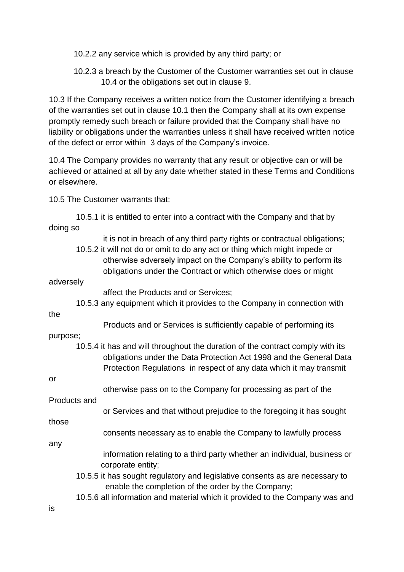- 10.2.2 any service which is provided by any third party; or
- 10.2.3 a breach by the Customer of the Customer warranties set out in clause 10.4 or the obligations set out in clause 9.

10.3 If the Company receives a written notice from the Customer identifying a breach of the warranties set out in clause 10.1 then the Company shall at its own expense promptly remedy such breach or failure provided that the Company shall have no liability or obligations under the warranties unless it shall have received written notice of the defect or error within 3 days of the Company's invoice.

10.4 The Company provides no warranty that any result or objective can or will be achieved or attained at all by any date whether stated in these Terms and Conditions or elsewhere.

10.5 The Customer warrants that:

|              | 10.5.1 it is entitled to enter into a contract with the Company and that by                                                                                                                                                                                                                      |
|--------------|--------------------------------------------------------------------------------------------------------------------------------------------------------------------------------------------------------------------------------------------------------------------------------------------------|
| doing so     |                                                                                                                                                                                                                                                                                                  |
|              | it is not in breach of any third party rights or contractual obligations;<br>10.5.2 it will not do or omit to do any act or thing which might impede or<br>otherwise adversely impact on the Company's ability to perform its<br>obligations under the Contract or which otherwise does or might |
| adversely    |                                                                                                                                                                                                                                                                                                  |
|              | affect the Products and or Services;<br>10.5.3 any equipment which it provides to the Company in connection with                                                                                                                                                                                 |
| the          |                                                                                                                                                                                                                                                                                                  |
|              | Products and or Services is sufficiently capable of performing its                                                                                                                                                                                                                               |
| purpose;     |                                                                                                                                                                                                                                                                                                  |
|              | 10.5.4 it has and will throughout the duration of the contract comply with its<br>obligations under the Data Protection Act 1998 and the General Data<br>Protection Regulations in respect of any data which it may transmit                                                                     |
| or           |                                                                                                                                                                                                                                                                                                  |
|              | otherwise pass on to the Company for processing as part of the                                                                                                                                                                                                                                   |
| Products and |                                                                                                                                                                                                                                                                                                  |
|              | or Services and that without prejudice to the foregoing it has sought                                                                                                                                                                                                                            |
| those        |                                                                                                                                                                                                                                                                                                  |
|              | consents necessary as to enable the Company to lawfully process                                                                                                                                                                                                                                  |
| any          |                                                                                                                                                                                                                                                                                                  |
|              | information relating to a third party whether an individual, business or<br>corporate entity;                                                                                                                                                                                                    |
|              | 10.5.5 it has sought regulatory and legislative consents as are necessary to<br>enable the completion of the order by the Company;                                                                                                                                                               |
|              | 10.5.6 all information and material which it provided to the Company was and                                                                                                                                                                                                                     |
| İS           |                                                                                                                                                                                                                                                                                                  |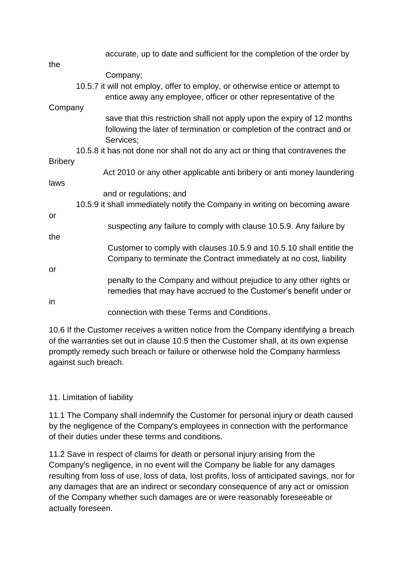|                | accurate, up to date and sufficient for the completion of the order by        |
|----------------|-------------------------------------------------------------------------------|
| the            |                                                                               |
|                | Company;                                                                      |
|                | 10.5.7 it will not employ, offer to employ, or otherwise entice or attempt to |
|                | entice away any employee, officer or other representative of the              |
| Company        |                                                                               |
|                | save that this restriction shall not apply upon the expiry of 12 months       |
|                | following the later of termination or completion of the contract and or       |
|                | Services;                                                                     |
|                | 10.5.8 it has not done nor shall not do any act or thing that contravenes the |
| <b>Bribery</b> |                                                                               |
|                | Act 2010 or any other applicable anti bribery or anti money laundering        |
| laws           |                                                                               |
|                | and or regulations; and                                                       |
|                | 10.5.9 it shall immediately notify the Company in writing on becoming aware   |
| or             |                                                                               |
|                | suspecting any failure to comply with clause 10.5.9. Any failure by           |
| the            |                                                                               |
|                | Customer to comply with clauses 10.5.9 and 10.5.10 shall entitle the          |
|                | Company to terminate the Contract immediately at no cost, liability           |
| or             |                                                                               |
|                | penalty to the Company and without prejudice to any other rights or           |
|                | remedies that may have accrued to the Customer's benefit under or             |
| in             |                                                                               |
|                | connection with these Terms and Conditions.                                   |

10.6 If the Customer receives a written notice from the Company identifying a breach of the warranties set out in clause 10.5 then the Customer shall, at its own expense promptly remedy such breach or failure or otherwise hold the Company harmless against such breach.

# 11. Limitation of liability

11.1 The Company shall indemnify the Customer for personal injury or death caused by the negligence of the Company's employees in connection with the performance of their duties under these terms and conditions.

11.2 Save in respect of claims for death or personal injury arising from the Company's negligence, in no event will the Company be liable for any damages resulting from loss of use, loss of data, lost profits, loss of anticipated savings, nor for any damages that are an indirect or secondary consequence of any act or omission of the Company whether such damages are or were reasonably foreseeable or actually foreseen.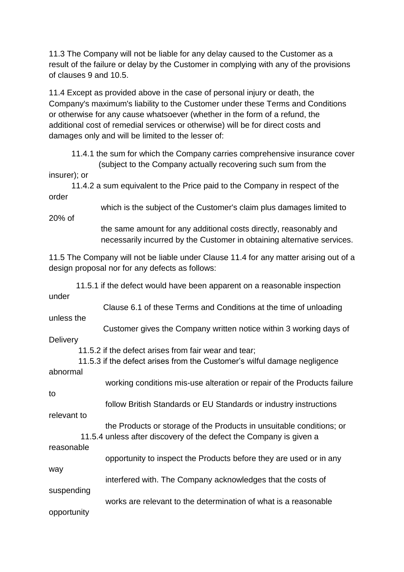11.3 The Company will not be liable for any delay caused to the Customer as a result of the failure or delay by the Customer in complying with any of the provisions of clauses 9 and 10.5.

11.4 Except as provided above in the case of personal injury or death, the Company's maximum's liability to the Customer under these Terms and Conditions or otherwise for any cause whatsoever (whether in the form of a refund, the additional cost of remedial services or otherwise) will be for direct costs and damages only and will be limited to the lesser of:

 11.4.1 the sum for which the Company carries comprehensive insurance cover (subject to the Company actually recovering such sum from the

insurer); or

 11.4.2 a sum equivalent to the Price paid to the Company in respect of the order

which is the subject of the Customer's claim plus damages limited to

20% of

 the same amount for any additional costs directly, reasonably and necessarily incurred by the Customer in obtaining alternative services.

11.5 The Company will not be liable under Clause 11.4 for any matter arising out of a design proposal nor for any defects as follows:

|                 | 11.5.1 if the defect would have been apparent on a reasonable inspection |
|-----------------|--------------------------------------------------------------------------|
| under           |                                                                          |
|                 | Clause 6.1 of these Terms and Conditions at the time of unloading        |
| unless the      |                                                                          |
|                 | Customer gives the Company written notice within 3 working days of       |
| <b>Delivery</b> |                                                                          |
|                 | 11.5.2 if the defect arises from fair wear and tear;                     |
|                 | 11.5.3 if the defect arises from the Customer's wilful damage negligence |
| abnormal        |                                                                          |
|                 | working conditions mis-use alteration or repair of the Products failure  |
| to              |                                                                          |
|                 | follow British Standards or EU Standards or industry instructions        |
| relevant to     |                                                                          |
|                 | the Products or storage of the Products in unsuitable conditions; or     |
|                 | 11.5.4 unless after discovery of the defect the Company is given a       |
| reasonable      |                                                                          |
|                 | opportunity to inspect the Products before they are used or in any       |
| way             |                                                                          |
|                 | interfered with. The Company acknowledges that the costs of              |
| suspending      |                                                                          |
|                 | works are relevant to the determination of what is a reasonable          |
| opportunity     |                                                                          |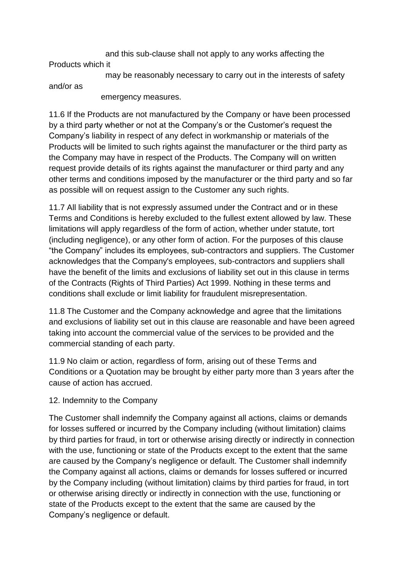and this sub-clause shall not apply to any works affecting the Products which it

 may be reasonably necessary to carry out in the interests of safety and/or as

emergency measures.

11.6 If the Products are not manufactured by the Company or have been processed by a third party whether or not at the Company's or the Customer's request the Company's liability in respect of any defect in workmanship or materials of the Products will be limited to such rights against the manufacturer or the third party as the Company may have in respect of the Products. The Company will on written request provide details of its rights against the manufacturer or third party and any other terms and conditions imposed by the manufacturer or the third party and so far as possible will on request assign to the Customer any such rights.

11.7 All liability that is not expressly assumed under the Contract and or in these Terms and Conditions is hereby excluded to the fullest extent allowed by law. These limitations will apply regardless of the form of action, whether under statute, tort (including negligence), or any other form of action. For the purposes of this clause "the Company" includes its employees, sub-contractors and suppliers. The Customer acknowledges that the Company's employees, sub-contractors and suppliers shall have the benefit of the limits and exclusions of liability set out in this clause in terms of the Contracts (Rights of Third Parties) Act 1999. Nothing in these terms and conditions shall exclude or limit liability for fraudulent misrepresentation.

11.8 The Customer and the Company acknowledge and agree that the limitations and exclusions of liability set out in this clause are reasonable and have been agreed taking into account the commercial value of the services to be provided and the commercial standing of each party.

11.9 No claim or action, regardless of form, arising out of these Terms and Conditions or a Quotation may be brought by either party more than 3 years after the cause of action has accrued.

#### 12. Indemnity to the Company

The Customer shall indemnify the Company against all actions, claims or demands for losses suffered or incurred by the Company including (without limitation) claims by third parties for fraud, in tort or otherwise arising directly or indirectly in connection with the use, functioning or state of the Products except to the extent that the same are caused by the Company's negligence or default. The Customer shall indemnify the Company against all actions, claims or demands for losses suffered or incurred by the Company including (without limitation) claims by third parties for fraud, in tort or otherwise arising directly or indirectly in connection with the use, functioning or state of the Products except to the extent that the same are caused by the Company's negligence or default.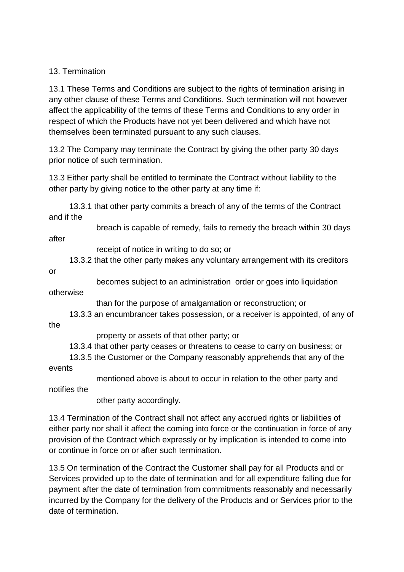#### 13. Termination

13.1 These Terms and Conditions are subject to the rights of termination arising in any other clause of these Terms and Conditions. Such termination will not however affect the applicability of the terms of these Terms and Conditions to any order in respect of which the Products have not yet been delivered and which have not themselves been terminated pursuant to any such clauses.

13.2 The Company may terminate the Contract by giving the other party 30 days prior notice of such termination.

13.3 Either party shall be entitled to terminate the Contract without liability to the other party by giving notice to the other party at any time if:

 13.3.1 that other party commits a breach of any of the terms of the Contract and if the

breach is capable of remedy, fails to remedy the breach within 30 days

after

receipt of notice in writing to do so; or

13.3.2 that the other party makes any voluntary arrangement with its creditors

or

becomes subject to an administration order or goes into liquidation

otherwise

than for the purpose of amalgamation or reconstruction; or

 13.3.3 an encumbrancer takes possession, or a receiver is appointed, of any of the

property or assets of that other party; or

13.3.4 that other party ceases or threatens to cease to carry on business; or

13.3.5 the Customer or the Company reasonably apprehends that any of the

events

mentioned above is about to occur in relation to the other party and

notifies the

other party accordingly.

13.4 Termination of the Contract shall not affect any accrued rights or liabilities of either party nor shall it affect the coming into force or the continuation in force of any provision of the Contract which expressly or by implication is intended to come into or continue in force on or after such termination.

13.5 On termination of the Contract the Customer shall pay for all Products and or Services provided up to the date of termination and for all expenditure falling due for payment after the date of termination from commitments reasonably and necessarily incurred by the Company for the delivery of the Products and or Services prior to the date of termination.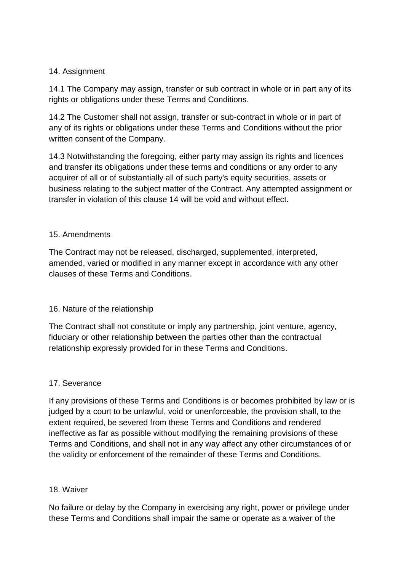#### 14. Assignment

14.1 The Company may assign, transfer or sub contract in whole or in part any of its rights or obligations under these Terms and Conditions.

14.2 The Customer shall not assign, transfer or sub-contract in whole or in part of any of its rights or obligations under these Terms and Conditions without the prior written consent of the Company.

14.3 Notwithstanding the foregoing, either party may assign its rights and licences and transfer its obligations under these terms and conditions or any order to any acquirer of all or of substantially all of such party's equity securities, assets or business relating to the subject matter of the Contract. Any attempted assignment or transfer in violation of this clause 14 will be void and without effect.

## 15. Amendments

The Contract may not be released, discharged, supplemented, interpreted, amended, varied or modified in any manner except in accordance with any other clauses of these Terms and Conditions.

#### 16. Nature of the relationship

The Contract shall not constitute or imply any partnership, joint venture, agency, fiduciary or other relationship between the parties other than the contractual relationship expressly provided for in these Terms and Conditions.

#### 17. Severance

If any provisions of these Terms and Conditions is or becomes prohibited by law or is judged by a court to be unlawful, void or unenforceable, the provision shall, to the extent required, be severed from these Terms and Conditions and rendered ineffective as far as possible without modifying the remaining provisions of these Terms and Conditions, and shall not in any way affect any other circumstances of or the validity or enforcement of the remainder of these Terms and Conditions.

#### 18. Waiver

No failure or delay by the Company in exercising any right, power or privilege under these Terms and Conditions shall impair the same or operate as a waiver of the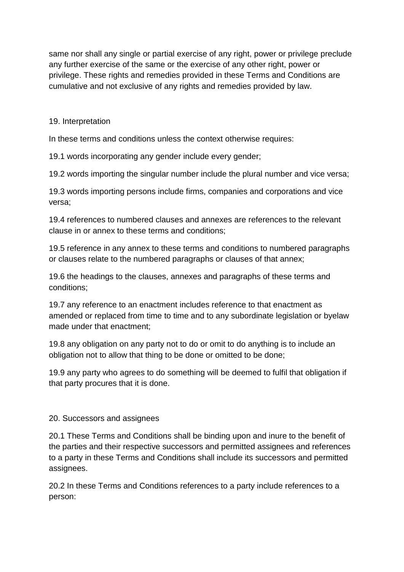same nor shall any single or partial exercise of any right, power or privilege preclude any further exercise of the same or the exercise of any other right, power or privilege. These rights and remedies provided in these Terms and Conditions are cumulative and not exclusive of any rights and remedies provided by law.

19. Interpretation

In these terms and conditions unless the context otherwise requires:

19.1 words incorporating any gender include every gender;

19.2 words importing the singular number include the plural number and vice versa;

19.3 words importing persons include firms, companies and corporations and vice versa;

19.4 references to numbered clauses and annexes are references to the relevant clause in or annex to these terms and conditions;

19.5 reference in any annex to these terms and conditions to numbered paragraphs or clauses relate to the numbered paragraphs or clauses of that annex;

19.6 the headings to the clauses, annexes and paragraphs of these terms and conditions;

19.7 any reference to an enactment includes reference to that enactment as amended or replaced from time to time and to any subordinate legislation or byelaw made under that enactment;

19.8 any obligation on any party not to do or omit to do anything is to include an obligation not to allow that thing to be done or omitted to be done;

19.9 any party who agrees to do something will be deemed to fulfil that obligation if that party procures that it is done.

20. Successors and assignees

20.1 These Terms and Conditions shall be binding upon and inure to the benefit of the parties and their respective successors and permitted assignees and references to a party in these Terms and Conditions shall include its successors and permitted assignees.

20.2 In these Terms and Conditions references to a party include references to a person: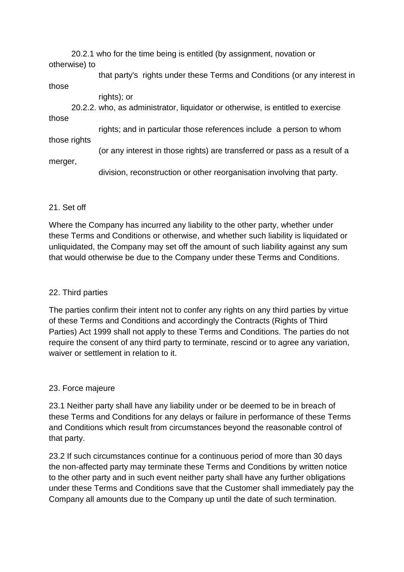|               | 20.2.1 who for the time being is entitled (by assignment, novation or           |
|---------------|---------------------------------------------------------------------------------|
| otherwise) to |                                                                                 |
|               | that party's rights under these Terms and Conditions (or any interest in        |
| those         |                                                                                 |
|               | rights); or                                                                     |
|               | 20.2.2. who, as administrator, liquidator or otherwise, is entitled to exercise |
| those         |                                                                                 |
|               | rights; and in particular those references include a person to whom             |
| those rights  |                                                                                 |
|               | (or any interest in those rights) are transferred or pass as a result of a      |
| merger,       |                                                                                 |
|               | division, reconstruction or other reorganisation involving that party.          |

## 21. Set off

Where the Company has incurred any liability to the other party, whether under these Terms and Conditions or otherwise, and whether such liability is liquidated or unliquidated, the Company may set off the amount of such liability against any sum that would otherwise be due to the Company under these Terms and Conditions.

#### 22. Third parties

The parties confirm their intent not to confer any rights on any third parties by virtue of these Terms and Conditions and accordingly the Contracts (Rights of Third Parties) Act 1999 shall not apply to these Terms and Conditions. The parties do not require the consent of any third party to terminate, rescind or to agree any variation, waiver or settlement in relation to it.

#### 23. Force majeure

23.1 Neither party shall have any liability under or be deemed to be in breach of these Terms and Conditions for any delays or failure in performance of these Terms and Conditions which result from circumstances beyond the reasonable control of that party.

23.2 If such circumstances continue for a continuous period of more than 30 days the non-affected party may terminate these Terms and Conditions by written notice to the other party and in such event neither party shall have any further obligations under these Terms and Conditions save that the Customer shall immediately pay the Company all amounts due to the Company up until the date of such termination.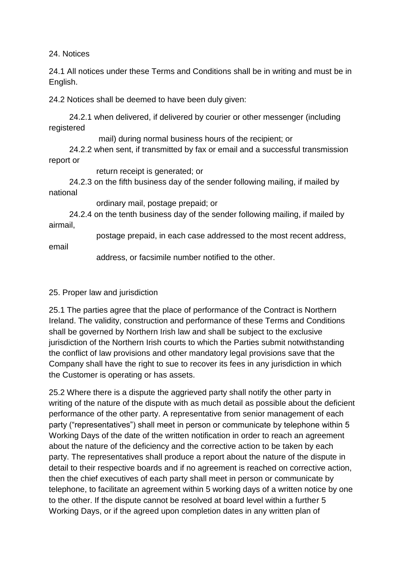24. Notices

24.1 All notices under these Terms and Conditions shall be in writing and must be in English.

24.2 Notices shall be deemed to have been duly given:

 24.2.1 when delivered, if delivered by courier or other messenger (including registered

mail) during normal business hours of the recipient; or

 24.2.2 when sent, if transmitted by fax or email and a successful transmission report or

return receipt is generated; or

 24.2.3 on the fifth business day of the sender following mailing, if mailed by national

ordinary mail, postage prepaid; or

 24.2.4 on the tenth business day of the sender following mailing, if mailed by airmail,

 postage prepaid, in each case addressed to the most recent address, email

address, or facsimile number notified to the other.

#### 25. Proper law and jurisdiction

25.1 The parties agree that the place of performance of the Contract is Northern Ireland. The validity, construction and performance of these Terms and Conditions shall be governed by Northern Irish law and shall be subject to the exclusive jurisdiction of the Northern Irish courts to which the Parties submit notwithstanding the conflict of law provisions and other mandatory legal provisions save that the Company shall have the right to sue to recover its fees in any jurisdiction in which the Customer is operating or has assets.

25.2 Where there is a dispute the aggrieved party shall notify the other party in writing of the nature of the dispute with as much detail as possible about the deficient performance of the other party. A representative from senior management of each party ("representatives") shall meet in person or communicate by telephone within 5 Working Days of the date of the written notification in order to reach an agreement about the nature of the deficiency and the corrective action to be taken by each party. The representatives shall produce a report about the nature of the dispute in detail to their respective boards and if no agreement is reached on corrective action, then the chief executives of each party shall meet in person or communicate by telephone, to facilitate an agreement within 5 working days of a written notice by one to the other. If the dispute cannot be resolved at board level within a further 5 Working Days, or if the agreed upon completion dates in any written plan of